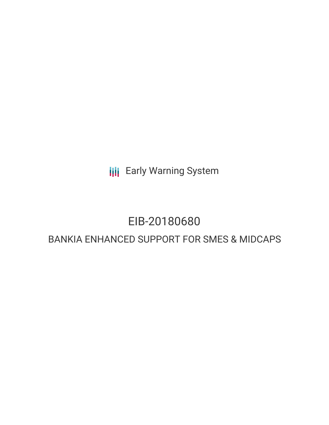**III** Early Warning System

# EIB-20180680

## BANKIA ENHANCED SUPPORT FOR SMES & MIDCAPS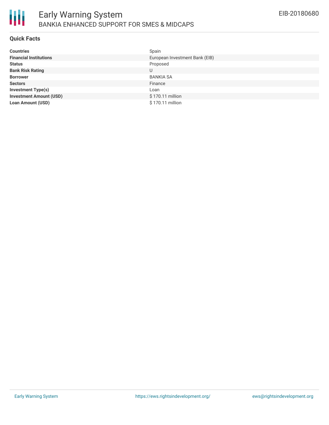

#### **Quick Facts**

| <b>Countries</b>               | Spain                          |
|--------------------------------|--------------------------------|
| <b>Financial Institutions</b>  | European Investment Bank (EIB) |
| <b>Status</b>                  | Proposed                       |
| <b>Bank Risk Rating</b>        | U                              |
| <b>Borrower</b>                | <b>BANKIA SA</b>               |
| <b>Sectors</b>                 | Finance                        |
| <b>Investment Type(s)</b>      | Loan                           |
| <b>Investment Amount (USD)</b> | \$170.11 million               |
| <b>Loan Amount (USD)</b>       | \$170.11 million               |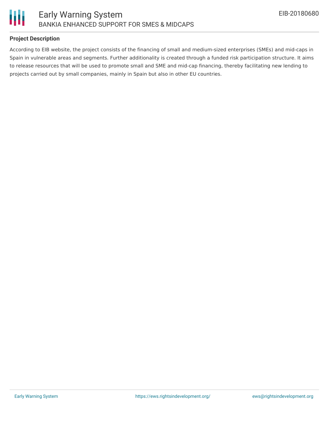

### **Project Description**

According to EIB website, the project consists of the financing of small and medium-sized enterprises (SMEs) and mid-caps in Spain in vulnerable areas and segments. Further additionality is created through a funded risk participation structure. It aims to release resources that will be used to promote small and SME and mid-cap financing, thereby facilitating new lending to projects carried out by small companies, mainly in Spain but also in other EU countries.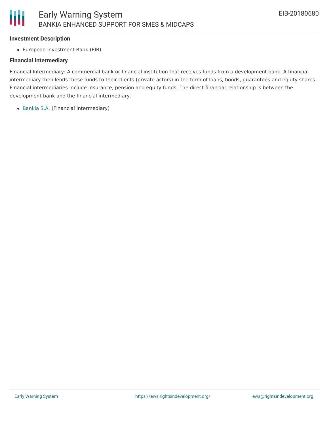#### **Investment Description**

European Investment Bank (EIB)

#### **Financial Intermediary**

Financial Intermediary: A commercial bank or financial institution that receives funds from a development bank. A financial intermediary then lends these funds to their clients (private actors) in the form of loans, bonds, guarantees and equity shares. Financial intermediaries include insurance, pension and equity funds. The direct financial relationship is between the development bank and the financial intermediary.

• [Bankia](file:///actor/139/) S.A. (Financial Intermediary)